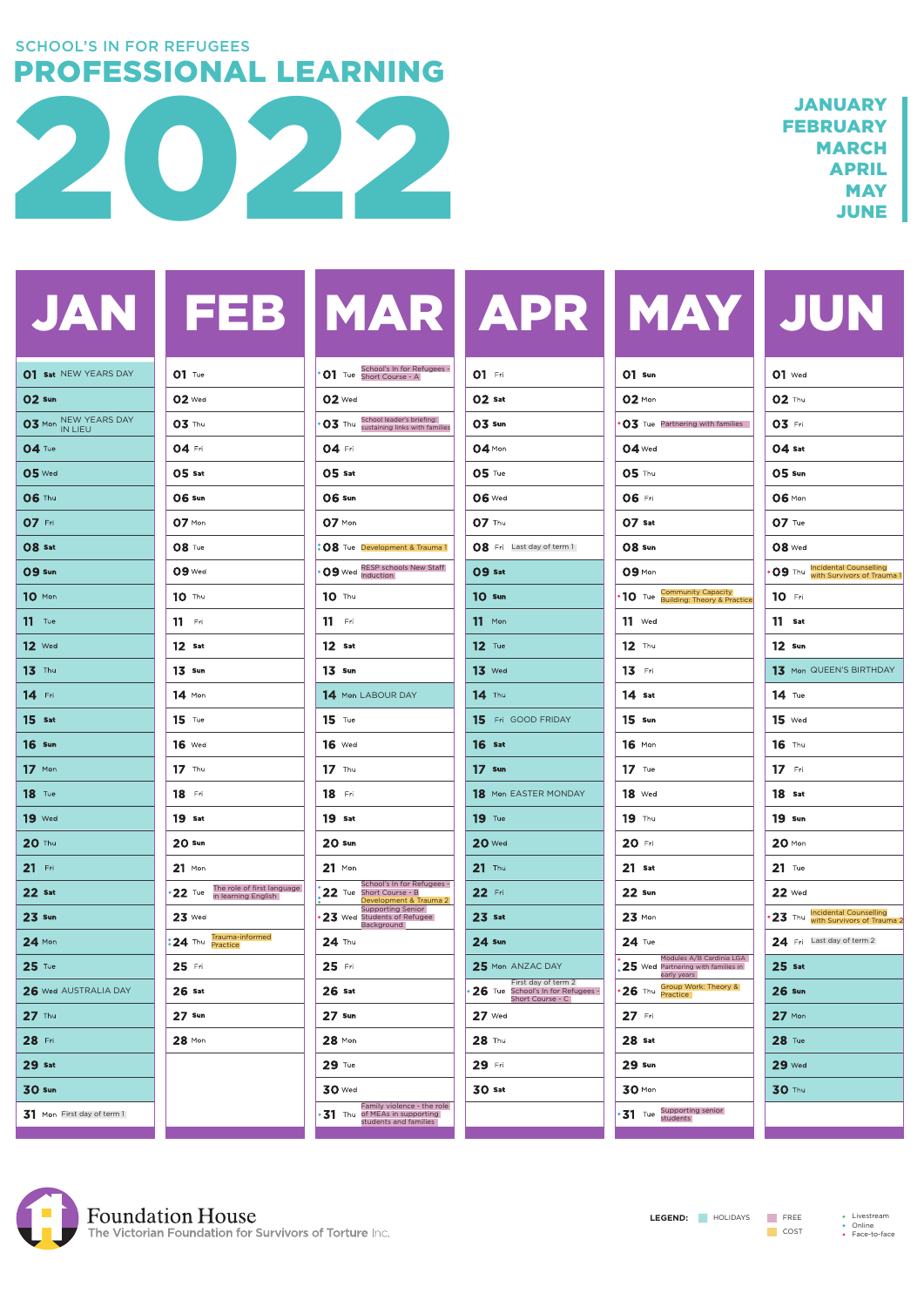|  | JAN   FEB   MAR   APR   MAY   JUN |  |
|--|-----------------------------------|--|
|  |                                   |  |

| 01 Sat NEW YEARS DAY       | $O1$ Tue                          | School's In for Refugees -                                                              | <b>01</b> Fri                                                                | $O1$ Sun                                                                        | $O1$ Wed                                                           |
|----------------------------|-----------------------------------|-----------------------------------------------------------------------------------------|------------------------------------------------------------------------------|---------------------------------------------------------------------------------|--------------------------------------------------------------------|
| 02 Sun                     | <b>02</b> Wed                     | <b>02</b> Wed                                                                           | $02$ Sat                                                                     | 02 Mon                                                                          | <b>02 Thu</b>                                                      |
| 03 Mon NEW YEARS DAY       | 03 Thu                            | <b>O3</b> Thu School leader's briefing:<br><b>O3</b> Thu sustaining links with families | 03 Sun                                                                       | $\cdot$ O3 Tue Partnering with families                                         | 03 Fri                                                             |
| <b>04 Tue</b>              | 04 Fri                            | 04 Fri                                                                                  | 04 Mon                                                                       | $04$ Wed                                                                        | $04$ Sat                                                           |
| <b>05</b> Wed              | $05$ Sat                          | $05$ Sat                                                                                | $05$ Tue                                                                     | <b>05 Thu</b>                                                                   | 05 sun                                                             |
| <b>06 Thu</b>              | <b>06 Sun</b>                     | <b>06 Sun</b>                                                                           | <b>06</b> Wed                                                                | <b>06 Fri</b>                                                                   | <b>06 Mon</b>                                                      |
| 07 Fri                     | 07 Mon                            | 07 Mon                                                                                  | <b>07 Thu</b>                                                                | 07 Sat                                                                          | $O7$ Tue                                                           |
| O8 Sat                     | <b>08 Tue</b>                     | : 08 Tue Development & Trauma 1                                                         | <b>08</b> Fri Last day of term 1                                             | <b>08 Sun</b>                                                                   | <b>08</b> Wed                                                      |
| <b>09 sun</b>              | 09 Wed                            | <b>09</b> Wed RESP schools New Staff                                                    | 09 Sat                                                                       | 09 Mon                                                                          | • 09 Thu Incidental Counselling<br>with Survivors of Trauma        |
| 10 Mon                     | 10 Thu                            | <b>10</b> Thu                                                                           | <b>10 Sun</b>                                                                | • 10 Tue Community Capacity<br><b>10</b> Tue Building: Theory & Practice        | 10 Fri                                                             |
| $11$ Tue                   | $11$ Fri                          | $11$ Fri                                                                                | $11$ Mon                                                                     | $11$ Wed                                                                        | $11$ Sat                                                           |
| $12$ Wed                   | $12$ Sat                          | $12$ Sat                                                                                | $12$ Tue                                                                     | $12$ Thu                                                                        | $12 \cdot$ sun                                                     |
| 13 Thu                     | $13 \cdot$ sun                    | $13 \cdot$ sun                                                                          | $13$ Wed                                                                     | 13 Fri                                                                          | 13 Mon QUEEN'S BIRTHDAY                                            |
| 14 Fri                     | $14$ Mon                          | 14 Mon LABOUR DAY                                                                       | 14 Thu                                                                       | $14$ Sat                                                                        | $14$ Tue                                                           |
| $15$ Sat                   | $15$ Tue                          | $15$ Tue                                                                                | 15 Fri GOOD FRIDAY                                                           | $15 \,$ Sun                                                                     | $15$ Wed                                                           |
| <b>16</b> Sun              | <b>16</b> Wed                     | <b>16</b> Wed                                                                           | $16$ Sat                                                                     | $16$ Mon                                                                        | $16$ Thu                                                           |
| $17$ Mon                   | $17$ Thu                          | $17$ Thu                                                                                | $17 \cdot$ Sun                                                               | $17$ Tue                                                                        | $17$ Fri                                                           |
| <b>18</b> Tue              | <b>18</b> Fri                     | <b>18</b> Fri                                                                           | <b>18</b> Mon EASTER MONDAY                                                  | <b>18</b> Wed                                                                   | 18 Sat                                                             |
| <b>19</b> Wed              | 19 <sub>sat</sub>                 | 19 <sub>sat</sub>                                                                       | <b>19</b> Tue                                                                | <b>19</b> Thu                                                                   | <b>19 Sun</b>                                                      |
| <b>20 Thu</b>              | <b>20 Sun</b>                     | <b>20 Sun</b>                                                                           | <b>20</b> Wed                                                                | 20 Fri                                                                          | $20$ Mon                                                           |
| $21$ Fri                   | $21$ Mon                          | $21$ Mon                                                                                | $21$ Thu                                                                     | $21$ Sat                                                                        | $21$ Tue                                                           |
| <b>22 Sat</b>              | 22 Tue The role of first language | School's In for Refugees -<br>22 Tue Short Course - B<br>Development & Trauma 2         | 22 Fri                                                                       | <b>22 Sun</b>                                                                   | <b>22</b> Wed                                                      |
| <b>23 Sun</b>              | $23$ Wed                          | <b>Supporting Senior</b><br>23 Wed Students of Refugee<br>Background                    | $23$ Sat                                                                     | $23$ Mon                                                                        | <b>23</b> Thu Incidental Counselling<br>With Survivors of Trauma 2 |
| $24$ Mon                   | : 24 Thu Trauma-informed          | $24$ Thu                                                                                | <b>24 Sun</b>                                                                | $24$ Tue                                                                        | 24 Fri Last day of term 2                                          |
| $25$ Tue                   | 25 Fri                            | 25 Fri                                                                                  | 25 Mon ANZAC DAY                                                             | Modules A/B Cardinia LGA<br>$25$ Wed Partnering with families in<br>early years | $25$ sat                                                           |
| 26 Wed AUSTRALIA DAY       | $26$ Sat                          | $26$ Sat                                                                                | First day of term 2<br>26 Tue School's In for Refugees -<br>Short Course - C | <b>26</b> Thu <b>Group Work: Theory &amp;</b>                                   | <b>26 Sun</b>                                                      |
| 27 Thu                     | $27$ Sun                          | $27 \,$ Sun                                                                             | $27$ Wed                                                                     | 27 Fri                                                                          | $27$ Mon                                                           |
| 28 Fri                     | 28 Mon                            | 28 Mon                                                                                  | 28 Thu                                                                       | 28 <sub>sat</sub>                                                               | 28 Tue                                                             |
| <b>29 Sat</b>              |                                   | 29 Tue                                                                                  | 29 Fri                                                                       | <b>29 Sun</b>                                                                   | <b>29 Wed</b>                                                      |
| <b>30 sun</b>              |                                   | <b>30</b> Wed                                                                           | <b>30 Sat</b>                                                                | <b>30 Mon</b>                                                                   | <b>30 Thu</b>                                                      |
| 31 Mon First day of term 1 |                                   | Family violence - the role<br>• 31 Thu of MEAs in supporting<br>students and families   |                                                                              | Supporting senior<br>$31$ Tue<br>students                                       |                                                                    |
|                            |                                   |                                                                                         |                                                                              |                                                                                 |                                                                    |

| 01 Sat NEW YEARS DAY       | $O1$ Tue                                                 | • <b>01</b> Tue School's In for Refugees -                                              | <b>01</b> Fri                                                                | $O1$ Sun                                                                                | $O1$ Wed                                                           |
|----------------------------|----------------------------------------------------------|-----------------------------------------------------------------------------------------|------------------------------------------------------------------------------|-----------------------------------------------------------------------------------------|--------------------------------------------------------------------|
| 02 Sun                     | <b>02</b> Wed                                            | $O2$ Wed                                                                                | $02$ Sat                                                                     | 02 Mon                                                                                  | <b>02 Thu</b>                                                      |
| 03 Mon NEW YEARS DAY       | 03 Thu                                                   | <b>O3</b> Thu School leader's briefing:<br><b>O3</b> Thu sustaining links with families | 03 Sun                                                                       | $\cdot$ O3 Tue Partnering with families                                                 | 03 Fri                                                             |
| <b>04 Tue</b>              | 04 Fri                                                   | 04 Fri                                                                                  | 04 Mon                                                                       | <b>04 Wed</b>                                                                           | $04$ Sat                                                           |
| <b>05</b> Wed              | $05$ sat                                                 | $05$ Sat                                                                                | $05$ Tue                                                                     | <b>05 Thu</b>                                                                           | <b>05 sun</b>                                                      |
| <b>06 Thu</b>              | <b>06 Sun</b>                                            | <b>06 Sun</b>                                                                           | <b>06</b> Wed                                                                | <b>06 Fri</b>                                                                           | <b>06 Mon</b>                                                      |
| 07 Fri                     | $07$ Mon                                                 | 07 Mon                                                                                  | 07 Thu                                                                       | $O7$ Sat                                                                                | $O7$ Tue                                                           |
| O8 Sat                     | <b>08 Tue</b>                                            | : 08 Tue Development & Trauma 1                                                         | <b>08</b> Fri Last day of term 1                                             | <b>08 Sun</b>                                                                           | <b>08</b> Wed                                                      |
| <b>09 sun</b>              | <b>09 Wed</b>                                            | <b>09</b> Wed RESP schools New Staff                                                    | 09 Sat                                                                       | 09 Mon                                                                                  | • 09 Thu Incidental Counselling<br>With Survivors of Trauma 1      |
| 10 Mon                     | 10 Thu                                                   | <b>10</b> Thu                                                                           | <b>10 Sun</b>                                                                | • 10 Tue Community Capacity<br><b>10</b> Tue Building: Theory & Practice                | 10 Fri                                                             |
| $11$ Tue                   | $11$ Fri                                                 | $11$ Fri                                                                                | $11$ Mon                                                                     | $11$ Wed                                                                                | $11$ Sat                                                           |
| <b>12</b> Wed              | $12$ Sat                                                 | $12$ Sat                                                                                | $12$ Tue                                                                     | $12$ Thu                                                                                | $12 \cdot$ sun                                                     |
| 13 Thu                     | $13 \cdot$ sun                                           | $13 \cdot$ sun                                                                          | $13$ Wed                                                                     | 13 Fri                                                                                  | 13 Mon QUEEN'S BIRTHDAY                                            |
| 14 Fri                     | $14$ Mon                                                 | 14 Mon LABOUR DAY                                                                       | 14 Thu                                                                       | $14$ Sat                                                                                | $14$ Tue                                                           |
| $15$ Sat                   | $15$ Tue                                                 | $15$ Tue                                                                                | 15 Fri GOOD FRIDAY                                                           | $15 \text{ sun}$                                                                        | $15$ Wed                                                           |
| <b>16</b> Sun              | <b>16</b> Wed                                            | <b>16</b> Wed                                                                           | $16$ Sat                                                                     | $16$ Mon                                                                                | <b>16</b> Thu                                                      |
| $17$ Mon                   | $17$ Thu                                                 | $17$ Thu                                                                                | $17 \,$ Sun                                                                  | $17$ Tue                                                                                | $17$ Fri                                                           |
| <b>18</b> Tue              | <b>18</b> Fri                                            | <b>18</b> Fri                                                                           | <b>18</b> Mon EASTER MONDAY                                                  | <b>18</b> Wed                                                                           | 18 Sat                                                             |
| <b>19</b> Wed              | 19 <sub>sat</sub>                                        | 19 <sub>sat</sub>                                                                       | <b>19</b> Tue                                                                | <b>19</b> Thu                                                                           | <b>19 Sun</b>                                                      |
| <b>20 Thu</b>              | <b>20 Sun</b>                                            | <b>20 Sun</b>                                                                           | <b>20 Wed</b>                                                                | 20 Fri                                                                                  | $20$ Mon                                                           |
| 21 Fri                     | $21$ Mon                                                 | $21$ Mon                                                                                | $21$ Thu                                                                     | $21$ Sat                                                                                | $21$ Tue                                                           |
| <b>22 Sat</b>              | 22 Tue The role of first language<br>in learning English | School's In for Refugees -<br>22 Tue Short Course - B<br>Development & Trauma 2         | 22 Fri                                                                       | <b>22 Sun</b>                                                                           | <b>22</b> Wed                                                      |
| <b>23 Sun</b>              | $23$ Wed                                                 | <b>Supporting Senior</b><br>23 Wed Students of Refugee<br>Background                    | $23$ Sat                                                                     | $23$ Mon                                                                                | 23 Thu Incidental Counselling<br>23 Thu with Survivors of Trauma 2 |
| $24$ Mon                   | <b>:24</b> Thu Trauma-informed                           | $24$ Thu                                                                                | <b>24 Sun</b>                                                                | $24$ Tue                                                                                | 24 Fri Last day of term 2                                          |
| $25$ Tue                   | 25 Fri                                                   | 25 Fri                                                                                  | 25 Mon ANZAC DAY                                                             | Modules A/B Cardinia LGA<br>, ${\bf 25}$ Wed Partnering with families in<br>early years | $25$ sat                                                           |
| 26 Wed AUSTRALIA DAY       | $26$ Sat                                                 | $26$ Sat                                                                                | First day of term 2<br>26 Tue School's In for Refugees -<br>Short Course - C | <b>26</b> Thu <b>Group Work: Theory &amp;</b>                                           | <b>26 Sun</b>                                                      |
| 27 Thu                     | $27$ Sun                                                 | $27 \,$ Sun                                                                             | <b>27</b> Wed                                                                | 27 Fri                                                                                  | 27 Mon                                                             |
| 28 Fri                     | 28 Mon                                                   | 28 Mon                                                                                  | 28 Thu                                                                       | 28 <sub>sat</sub>                                                                       | 28 Tue                                                             |
| $29$ Sat                   |                                                          | 29 Tue                                                                                  | 29 Fri                                                                       | <b>29 Sun</b>                                                                           | <b>29 Wed</b>                                                      |
| <b>30 sun</b>              |                                                          | <b>30</b> Wed                                                                           | <b>30 Sat</b>                                                                | <b>30 Mon</b>                                                                           | <b>30 Thu</b>                                                      |
| 31 Mon First day of term 1 |                                                          | Family violence - the role<br>• 31 Thu of MEAs in supporting<br>students and families   |                                                                              | Supporting senior<br>$31$ Tue<br>students                                               |                                                                    |
|                            |                                                          |                                                                                         |                                                                              |                                                                                         |                                                                    |



LEGEND: HOLIDAYS FREE · Livestream

**COST** 

• Online

• Face-to-face

|               | <b>01 Sat NEW YEARS DAY</b> |  |
|---------------|-----------------------------|--|
| <b>02 Sun</b> |                             |  |
|               | 03 Mon NEW YEARS DAY        |  |
| $04$ Tue      |                             |  |
| <b>05</b> Wed |                             |  |
| <b>06 Thu</b> |                             |  |
| 07 Fri        |                             |  |
| O8 Sat        |                             |  |
| 09 Sun        |                             |  |
| 10 Mon        |                             |  |
| $11$ Tue      |                             |  |
| $12$ Wed      |                             |  |
| $13$ Thu      |                             |  |

|  | MAR |  |
|--|-----|--|
|  |     |  |

| 01 Sat NEW YEARS DAY       | $O1$ Tue                                                 | <b>O1</b> Tue School's In for Refugees -                                            | <b>01</b> Fri                                                                | $O1$ Sun                                                                        | $O1$ Wed                                                    |
|----------------------------|----------------------------------------------------------|-------------------------------------------------------------------------------------|------------------------------------------------------------------------------|---------------------------------------------------------------------------------|-------------------------------------------------------------|
| <b>02 Sun</b>              | <b>02</b> Wed                                            | <b>02</b> Wed                                                                       | $02$ Sat                                                                     | $02$ Mon                                                                        | $02$ Thu                                                    |
| 03 Mon NEW YEARS DAY       | 03 Thu                                                   | <b>O3</b> Thu School leader's briefing:<br>sustaining links with families           | 03 Sun                                                                       | $\cdot$ O3 Tue Partnering with families                                         | 03 Fri                                                      |
| 04 Tue                     | 04 Fri                                                   | 04 Fri                                                                              | 04 Mon                                                                       | $04$ Wed                                                                        | $04$ Sat                                                    |
| <b>05</b> Wed              | $05$ Sat                                                 | $05$ Sat                                                                            | $05$ Tue                                                                     | <b>05 Thu</b>                                                                   | 05 sun                                                      |
| <b>06 Thu</b>              | <b>06 Sun</b>                                            | <b>06 Sun</b>                                                                       | <b>06 Wed</b>                                                                | <b>06 Fri</b>                                                                   | <b>06 Mon</b>                                               |
| 07 Fri                     | $07$ Mon                                                 | 07 Mon                                                                              | <b>07 Thu</b>                                                                | 07 Sat                                                                          | $O7$ Tue                                                    |
| <b>08 Sat</b>              | <b>08 Tue</b>                                            | : 08 Tue Development & Trauma 1                                                     | <b>08</b> Fri Last day of term 1                                             | <b>08 Sun</b>                                                                   | <b>08</b> Wed                                               |
| <b>09 sun</b>              | 09 Wed                                                   | <b>09</b> Wed RESP schools New Staff                                                | 09 Sat                                                                       | 09 Mon                                                                          | • 09 Thu Incidental Counselling<br>With Survivors of Trauma |
| 10 Mon                     | 10 Thu                                                   | <b>10</b> Thu                                                                       | <b>10 Sun</b>                                                                | • 10 Tue Community Capacity<br>• 10 Tue Building: Theory & Practice             | 10 Fri                                                      |
| $11$ Tue                   | $11$ Fri                                                 | $11$ Fri                                                                            | $11$ Mon                                                                     | $11$ Wed                                                                        | $11$ Sat                                                    |
| $12$ Wed                   | $12$ Sat                                                 | $12$ Sat                                                                            | $12$ Tue                                                                     | $12$ Thu                                                                        | $12 \cdot$ sun                                              |
| 13 Thu                     | $13 \cdot$ sun                                           | $13 \cdot$ sun                                                                      | $13$ Wed                                                                     | 13 Fri                                                                          | 13 Mon QUEEN'S BIRTHDAY                                     |
| 14 Fri                     | $14$ Mon                                                 | 14 Mon LABOUR DAY                                                                   | 14 Thu                                                                       | $14$ Sat                                                                        | $14$ Tue                                                    |
| $15$ Sat                   | $15$ Tue                                                 | $15$ Tue                                                                            | 15 Fri GOOD FRIDAY                                                           | $15 \,$ Sun                                                                     | $15$ Wed                                                    |
| <b>16</b> Sun              | <b>16</b> Wed                                            | <b>16</b> Wed                                                                       | $16$ Sat                                                                     | $16$ Mon                                                                        | 16 Thu                                                      |
| $17$ Mon                   | $17$ Thu                                                 | $17$ Thu                                                                            | $17 \cdot$ Sun                                                               | $17$ Tue                                                                        | $17$ Fri                                                    |
| <b>18</b> Tue              | <b>18</b> Fri                                            | <b>18</b> Fri                                                                       | <b>18</b> Mon EASTER MONDAY                                                  | <b>18</b> Wed                                                                   | 18 Sat                                                      |
| <b>19</b> Wed              | 19 <sub>sat</sub>                                        | 19 <sub>sat</sub>                                                                   | <b>19</b> Tue                                                                | <b>19</b> Thu                                                                   | <b>19 Sun</b>                                               |
| 20 Thu                     | <b>20 Sun</b>                                            | <b>20 Sun</b>                                                                       | <b>20 Wed</b>                                                                | 20 Fri                                                                          | $20$ Mon                                                    |
| $21$ Fri                   | $21$ Mon                                                 | $21$ Mon                                                                            | $21$ Thu                                                                     | $21$ Sat                                                                        | $21$ Tue                                                    |
| <b>22 Sat</b>              | 22 Tue The role of first language<br>in learning English | School's In for Refugees -<br>22 Tue Short Course - B<br>Development & Trauma 2     | 22 Fri                                                                       | <b>22 Sun</b>                                                                   | <b>22</b> Wed                                               |
| <b>23 Sun</b>              | $23$ Wed                                                 | <b>Supporting Senior</b><br>23 Wed Students of Refugee<br>Background                | $23$ Sat                                                                     | $23$ Mon                                                                        | 23 Thu Incidental Counselling<br>With Survivors of Trauma 2 |
| 24 Mon                     | <b>24</b> Thu Trauma-informed                            | $24$ Thu                                                                            | <b>24 Sun</b>                                                                | $24$ Tue                                                                        | 24 Fri Last day of term 2                                   |
| $25$ Tue                   | 25 Fri                                                   | 25 Fri                                                                              | 25 Mon ANZAC DAY                                                             | Modules A/B Cardinia LGA<br>$25$ Wed Partnering with families in<br>early years | $25$ Sat                                                    |
| 26 Wed AUSTRALIA DAY       | $26$ Sat                                                 | $26$ Sat                                                                            | First day of term 2<br>26 Tue School's In for Refugees -<br>Short Course - C | <b>26</b> Thu Group Work: Theory &                                              | <b>26 Sun</b>                                               |
| 27 Thu                     | $27$ Sun                                                 | $27 \,$ Sun                                                                         | $27$ Wed                                                                     | 27 Fri                                                                          | 27 Mon                                                      |
| 28 Fri                     | 28 Mon                                                   | 28 Mon                                                                              | 28 Thu                                                                       | 28 <sub>sat</sub>                                                               | <b>28</b> Tue                                               |
| $29$ Sat                   |                                                          | 29 Tue                                                                              | 29 Fri                                                                       | <b>29 Sun</b>                                                                   | <b>29 Wed</b>                                               |
| <b>30 sun</b>              |                                                          | <b>30</b> Wed                                                                       | <b>30 Sat</b>                                                                | <b>30 Mon</b>                                                                   | <b>30 Thu</b>                                               |
| 31 Mon First day of term 1 |                                                          | Family violence - the role<br>31 Thu of MEAs in supporting<br>students and families |                                                                              | Supporting senior<br>$31$ Tue<br>students                                       |                                                             |
|                            |                                                          |                                                                                     |                                                                              |                                                                                 |                                                             |





## PROFESSIONAL LEARNING SCHOOL'S IN FOR REFUGEES

JANUARY **FEBRUARY** MARCH APRIL **MAY** JUNE